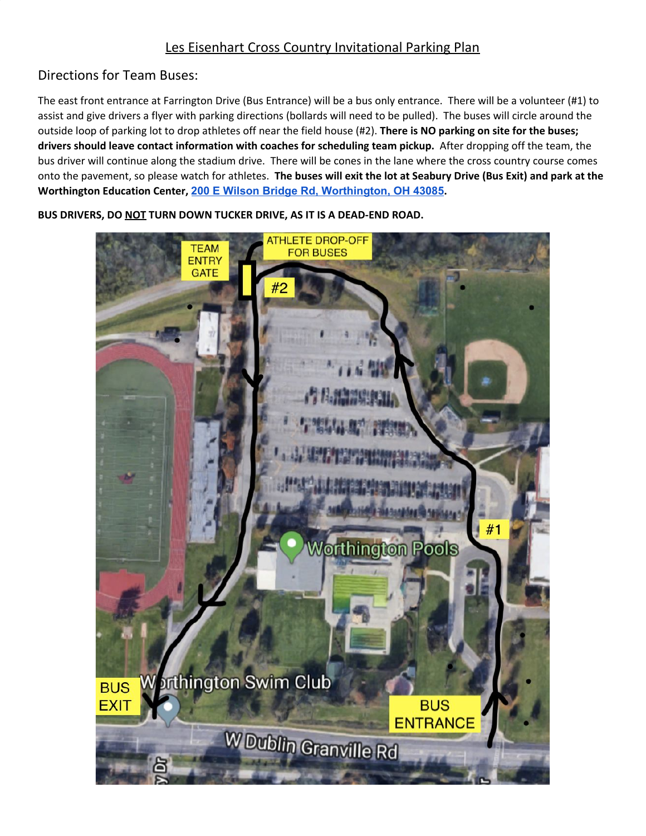## Les Eisenhart Cross Country Invitational Parking Plan

## Directions for Team Buses:

The east front entrance at Farrington Drive (Bus Entrance) will be a bus only entrance. There will be a volunteer (#1) to assist and give drivers a flyer with parking directions (bollards will need to be pulled). The buses will circle around the outside loop of parking lot to drop athletes off near the field house (#2). **There is NO parking on site for the buses; drivers should leave contact information with coaches for scheduling team pickup.** After dropping off the team, the bus driver will continue along the stadium drive. There will be cones in the lane where the cross country course comes onto the pavement, so please watch for athletes. The buses will exit the lot at Seabury Drive (Bus Exit) and park at the **Worthington Education Center, [200 E Wilson Bridge Rd, Worthington, OH 43085](https://goo.gl/maps/dN6DwHQ1QXAtDdG18).**

**BUS DRIVERS, DO NOT TURN DOWN TUCKER DRIVE, AS IT IS A DEAD-END ROAD.**